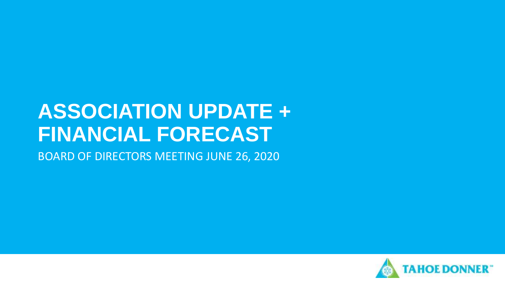# **ASSOCIATION UPDATE + FINANCIAL FORECAST**

BOARD OF DIRECTORS MEETING JUNE 26, 2020

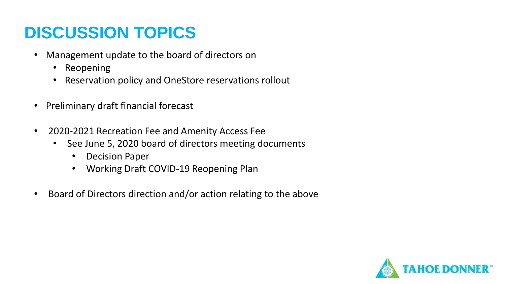## **DISCUSSION TOPICS**

- Management update to the board of directors on
	- Reopening
	- Reservation policy and OneStore reservations rollout
- Preliminary draft financial forecast
- 2020-2021 Recreation Fee and Amenity Access Fee
	- See June 5, 2020 board of directors meeting documents
		- Decision Paper
		- Working Draft COVID-19 Reopening Plan
- Board of Directors direction and/or action relating to the above